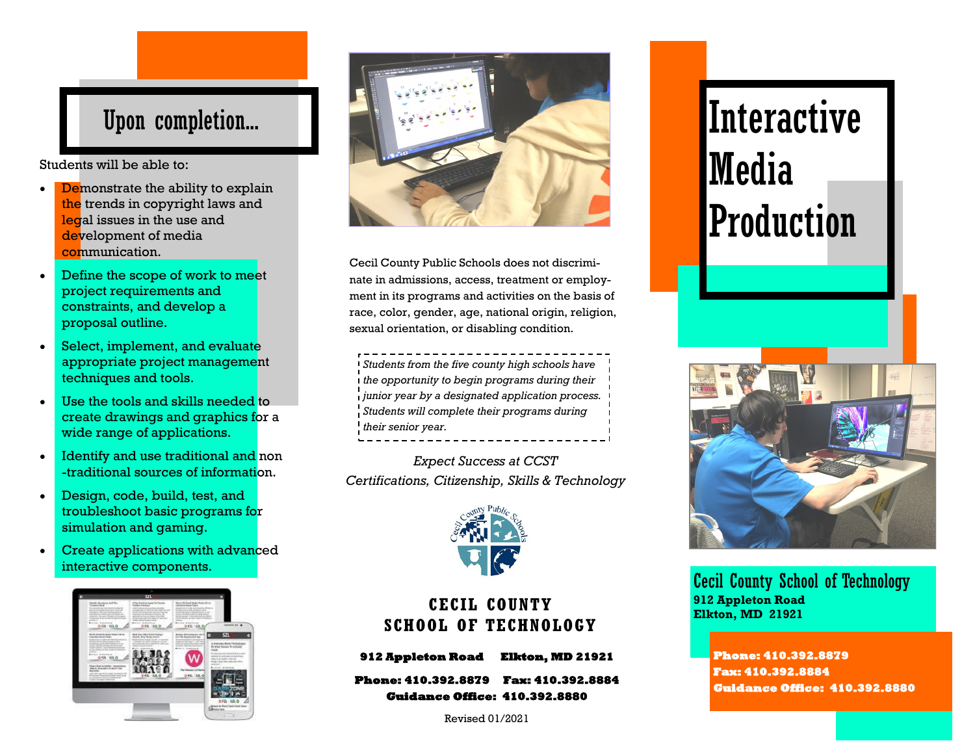## Upon completion...

Students will be able to:

- Demonstrate the ability to explain the trends in copyright laws and legal issues in the use and development of media communication.
- Define the scope of work to meet project requirements and constraints, and develop a proposal outline.
- Select, implement, and evaluate appropriate project management techniques and tools.
- Use the tools and skills needed to create drawings and graphics for a wide range of applications.
- Identify and use traditional and non -traditional sources of information.
- Design, code, build, test, and troubleshoot basic programs for simulation and gaming.
- Create applications with advanced interactive components.





Cecil County Public Schools does not discriminate in admissions, access, treatment or employment in its programs and activities on the basis of race, color, gender, age, national origin, religion, sexual orientation, or disabling condition.

*Students from the five county high schools have the opportunity to begin programs during their junior year by a designated application process. Students will complete their programs during their senior year.*

*Expect Success at CCST Certifications, Citizenship, Skills & Technology*



### **CECIL COUNTY SCHOOL OF TECHNOLOGY**

**912 Appleton Road Elkton, MD 21921** 

**Phone: 410.392.8879 Fax: 410.392.8884 Guidance Office: 410.392.8880** 

Revised 01/2021

# **Interactive** Media Production



Cecil County School of Technology **912 Appleton Road Elkton, MD 21921**

#### **Phone: 410.392.8879 Fax: 410.392.8884 Guidance Office: 410.392.8880**